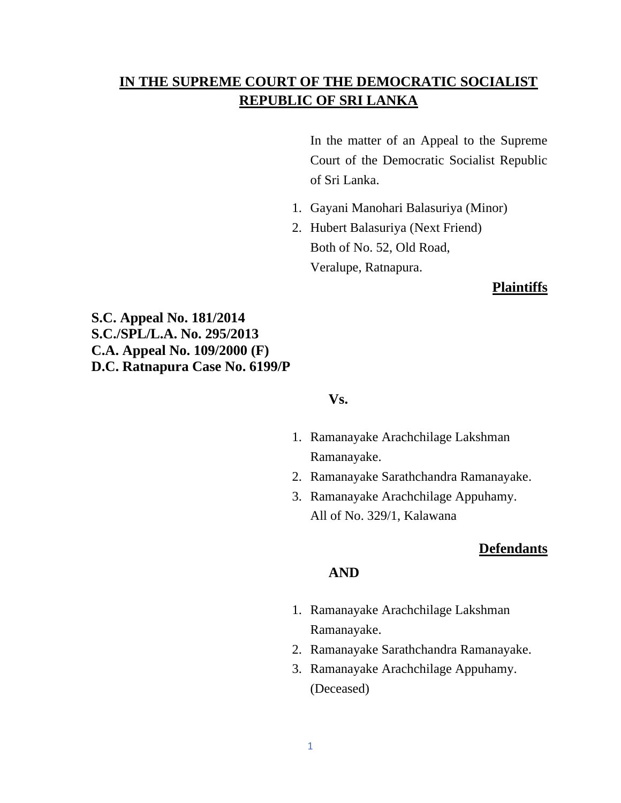# **IN THE SUPREME COURT OF THE DEMOCRATIC SOCIALIST REPUBLIC OF SRI LANKA**

In the matter of an Appeal to the Supreme Court of the Democratic Socialist Republic of Sri Lanka.

- 1. Gayani Manohari Balasuriya (Minor)
- 2. Hubert Balasuriya (Next Friend) Both of No. 52, Old Road, Veralupe, Ratnapura.

#### **Plaintiffs**

**S.C. Appeal No. 181/2014 S.C./SPL/L.A. No. 295/2013 C.A. Appeal No. 109/2000 (F) D.C. Ratnapura Case No. 6199/P**

### **Vs.**

- 1. Ramanayake Arachchilage Lakshman Ramanayake.
- 2. Ramanayake Sarathchandra Ramanayake.
- 3. Ramanayake Arachchilage Appuhamy. All of No. 329/1, Kalawana

## **Defendants**

### **AND**

- 1. Ramanayake Arachchilage Lakshman Ramanayake.
- 2. Ramanayake Sarathchandra Ramanayake.
- 3. Ramanayake Arachchilage Appuhamy. (Deceased)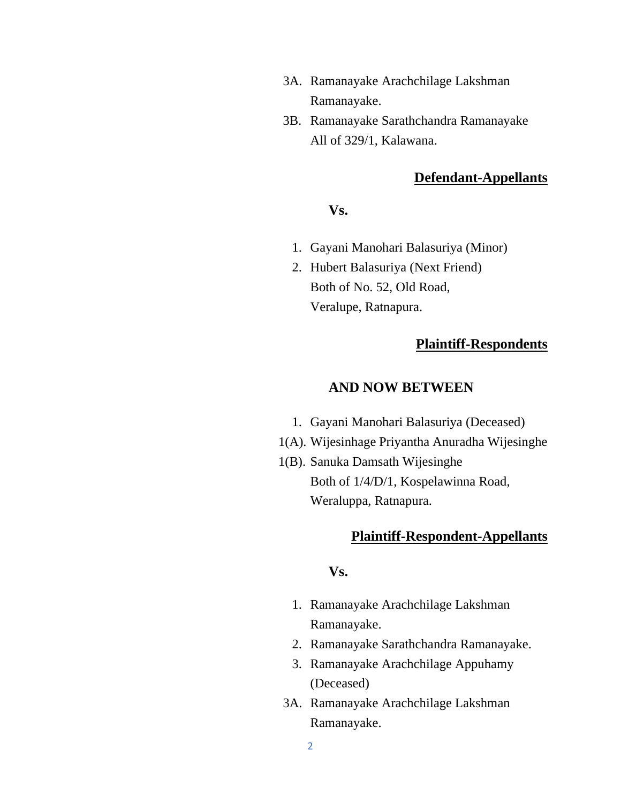- 3A. Ramanayake Arachchilage Lakshman Ramanayake.
- 3B. Ramanayake Sarathchandra Ramanayake All of 329/1, Kalawana.

## **Defendant-Appellants**

#### **Vs.**

- 1. Gayani Manohari Balasuriya (Minor)
- 2. Hubert Balasuriya (Next Friend) Both of No. 52, Old Road, Veralupe, Ratnapura.

## **Plaintiff-Respondents**

#### **AND NOW BETWEEN**

- 1. Gayani Manohari Balasuriya (Deceased)
- 1(A). Wijesinhage Priyantha Anuradha Wijesinghe
- 1(B). Sanuka Damsath Wijesinghe Both of 1/4/D/1, Kospelawinna Road, Weraluppa, Ratnapura.

# **Plaintiff-Respondent-Appellants**

## **Vs.**

- 1. Ramanayake Arachchilage Lakshman Ramanayake.
- 2. Ramanayake Sarathchandra Ramanayake.
- 3. Ramanayake Arachchilage Appuhamy (Deceased)
- 3A. Ramanayake Arachchilage Lakshman Ramanayake.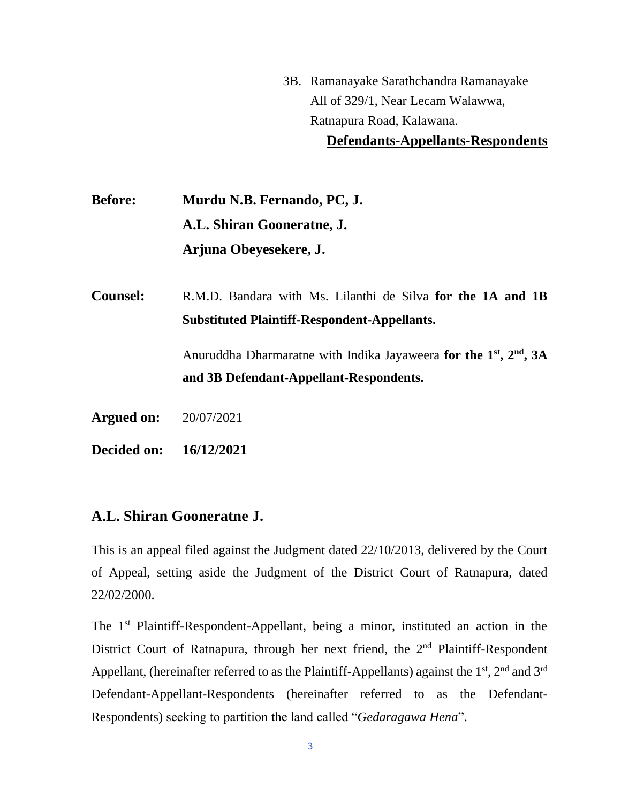3B. Ramanayake Sarathchandra Ramanayake All of 329/1, Near Lecam Walawwa, Ratnapura Road, Kalawana. **Defendants-Appellants-Respondents**

**Before: Murdu N.B. Fernando, PC, J. A.L. Shiran Gooneratne, J. Arjuna Obeyesekere, J.**

**Counsel:** R.M.D. Bandara with Ms. Lilanthi de Silva **for the 1A and 1B Substituted Plaintiff-Respondent-Appellants.**

> Anuruddha Dharmaratne with Indika Jayaweera **for the 1**<sup>st</sup>, 2<sup>nd</sup>, 3A **and 3B Defendant-Appellant-Respondents.**

**Argued on:** 20/07/2021

**Decided on: 16/12/2021**

# **A.L. Shiran Gooneratne J.**

This is an appeal filed against the Judgment dated 22/10/2013, delivered by the Court of Appeal, setting aside the Judgment of the District Court of Ratnapura, dated 22/02/2000.

The 1<sup>st</sup> Plaintiff-Respondent-Appellant, being a minor, instituted an action in the District Court of Ratnapura, through her next friend, the  $2<sup>nd</sup>$  Plaintiff-Respondent Appellant, (hereinafter referred to as the Plaintiff-Appellants) against the  $1<sup>st</sup>$ ,  $2<sup>nd</sup>$  and  $3<sup>rd</sup>$ Defendant-Appellant-Respondents (hereinafter referred to as the Defendant-Respondents) seeking to partition the land called "*Gedaragawa Hena*".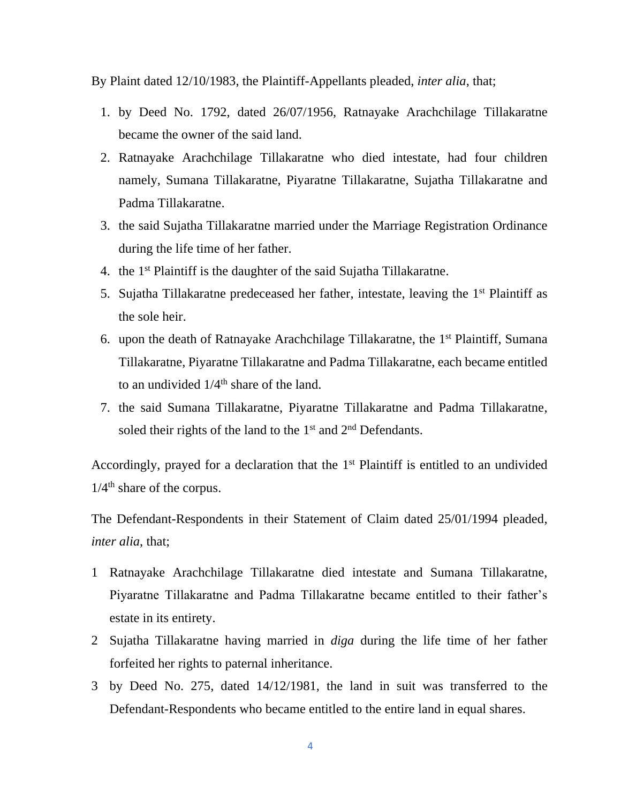By Plaint dated 12/10/1983, the Plaintiff-Appellants pleaded, *inter alia*, that;

- 1. by Deed No. 1792, dated 26/07/1956, Ratnayake Arachchilage Tillakaratne became the owner of the said land.
- 2. Ratnayake Arachchilage Tillakaratne who died intestate, had four children namely, Sumana Tillakaratne, Piyaratne Tillakaratne, Sujatha Tillakaratne and Padma Tillakaratne.
- 3. the said Sujatha Tillakaratne married under the Marriage Registration Ordinance during the life time of her father.
- 4. the 1<sup>st</sup> Plaintiff is the daughter of the said Sujatha Tillakaratne.
- 5. Sujatha Tillakaratne predeceased her father, intestate, leaving the 1<sup>st</sup> Plaintiff as the sole heir.
- 6. upon the death of Ratnayake Arachchilage Tillakaratne, the 1<sup>st</sup> Plaintiff, Sumana Tillakaratne, Piyaratne Tillakaratne and Padma Tillakaratne, each became entitled to an undivided  $1/4<sup>th</sup>$  share of the land.
- 7. the said Sumana Tillakaratne, Piyaratne Tillakaratne and Padma Tillakaratne, soled their rights of the land to the  $1<sup>st</sup>$  and  $2<sup>nd</sup>$  Defendants.

Accordingly, prayed for a declaration that the 1<sup>st</sup> Plaintiff is entitled to an undivided  $1/4$ <sup>th</sup> share of the corpus.

The Defendant-Respondents in their Statement of Claim dated 25/01/1994 pleaded, *inter alia*, that;

- 1 Ratnayake Arachchilage Tillakaratne died intestate and Sumana Tillakaratne, Piyaratne Tillakaratne and Padma Tillakaratne became entitled to their father's estate in its entirety.
- 2 Sujatha Tillakaratne having married in *diga* during the life time of her father forfeited her rights to paternal inheritance.
- 3 by Deed No. 275, dated 14/12/1981, the land in suit was transferred to the Defendant-Respondents who became entitled to the entire land in equal shares.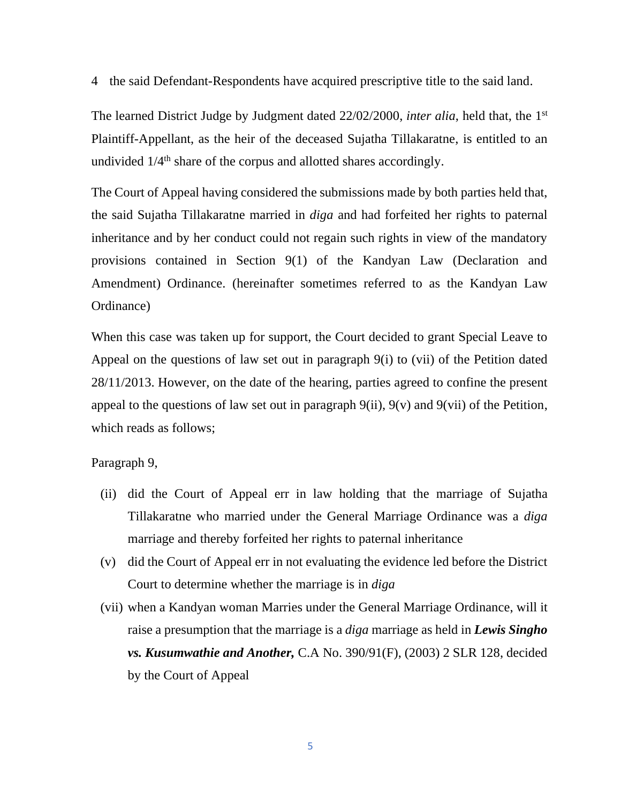4 the said Defendant-Respondents have acquired prescriptive title to the said land.

The learned District Judge by Judgment dated 22/02/2000, *inter alia*, held that, the 1st Plaintiff-Appellant, as the heir of the deceased Sujatha Tillakaratne, is entitled to an undivided  $1/4^{\text{th}}$  share of the corpus and allotted shares accordingly.

The Court of Appeal having considered the submissions made by both parties held that, the said Sujatha Tillakaratne married in *diga* and had forfeited her rights to paternal inheritance and by her conduct could not regain such rights in view of the mandatory provisions contained in Section 9(1) of the Kandyan Law (Declaration and Amendment) Ordinance. (hereinafter sometimes referred to as the Kandyan Law Ordinance)

When this case was taken up for support, the Court decided to grant Special Leave to Appeal on the questions of law set out in paragraph 9(i) to (vii) of the Petition dated 28/11/2013. However, on the date of the hearing, parties agreed to confine the present appeal to the questions of law set out in paragraph  $9(ii)$ ,  $9(v)$  and  $9(vii)$  of the Petition, which reads as follows;

Paragraph 9,

- (ii) did the Court of Appeal err in law holding that the marriage of Sujatha Tillakaratne who married under the General Marriage Ordinance was a *diga* marriage and thereby forfeited her rights to paternal inheritance
- (v) did the Court of Appeal err in not evaluating the evidence led before the District Court to determine whether the marriage is in *diga*
- (vii) when a Kandyan woman Marries under the General Marriage Ordinance, will it raise a presumption that the marriage is a *diga* marriage as held in *Lewis Singho vs. Kusumwathie and Another,* C.A No. 390/91(F), (2003) 2 SLR 128, decided by the Court of Appeal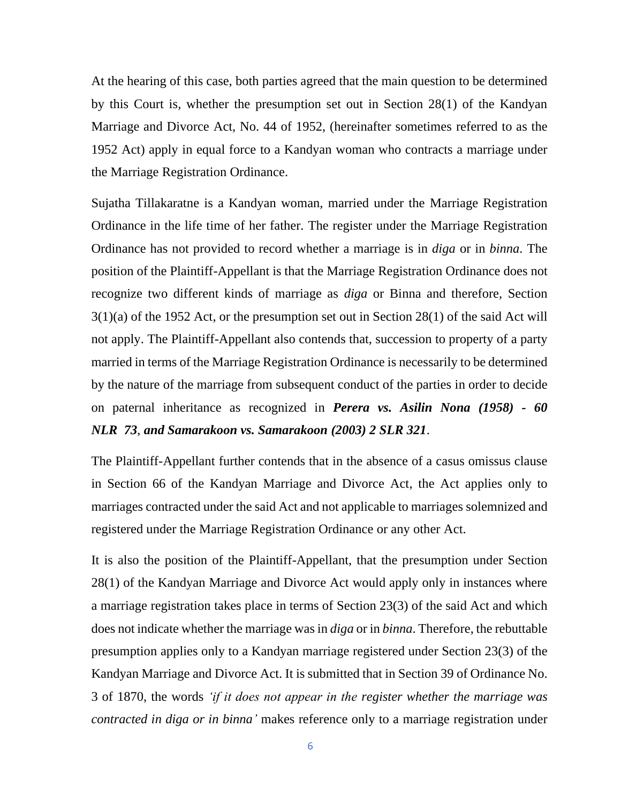At the hearing of this case, both parties agreed that the main question to be determined by this Court is, whether the presumption set out in Section 28(1) of the Kandyan Marriage and Divorce Act, No. 44 of 1952, (hereinafter sometimes referred to as the 1952 Act) apply in equal force to a Kandyan woman who contracts a marriage under the Marriage Registration Ordinance.

Sujatha Tillakaratne is a Kandyan woman, married under the Marriage Registration Ordinance in the life time of her father. The register under the Marriage Registration Ordinance has not provided to record whether a marriage is in *diga* or in *binna*. The position of the Plaintiff-Appellant is that the Marriage Registration Ordinance does not recognize two different kinds of marriage as *diga* or Binna and therefore, Section 3(1)(a) of the 1952 Act, or the presumption set out in Section 28(1) of the said Act will not apply. The Plaintiff-Appellant also contends that, succession to property of a party married in terms of the Marriage Registration Ordinance is necessarily to be determined by the nature of the marriage from subsequent conduct of the parties in order to decide on paternal inheritance as recognized in *Perera vs. Asilin Nona (1958) - 60 NLR 73*, *and Samarakoon vs. Samarakoon (2003) 2 SLR 321*.

The Plaintiff-Appellant further contends that in the absence of a casus omissus clause in Section 66 of the Kandyan Marriage and Divorce Act, the Act applies only to marriages contracted under the said Act and not applicable to marriages solemnized and registered under the Marriage Registration Ordinance or any other Act.

It is also the position of the Plaintiff-Appellant, that the presumption under Section 28(1) of the Kandyan Marriage and Divorce Act would apply only in instances where a marriage registration takes place in terms of Section 23(3) of the said Act and which does not indicate whether the marriage was in *diga* or in *binna*. Therefore, the rebuttable presumption applies only to a Kandyan marriage registered under Section 23(3) of the Kandyan Marriage and Divorce Act. It is submitted that in Section 39 of Ordinance No. 3 of 1870, the words *'if it does not appear in the register whether the marriage was contracted in diga or in binna'* makes reference only to a marriage registration under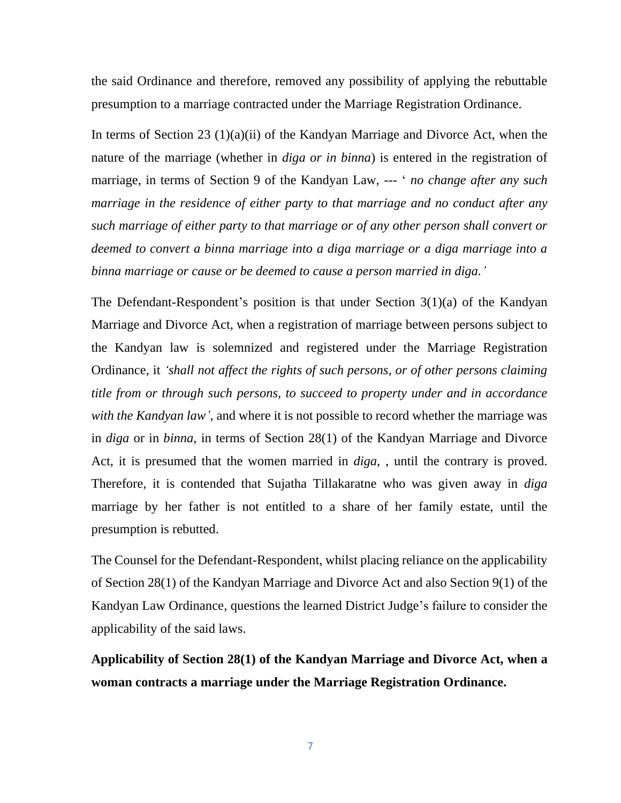the said Ordinance and therefore, removed any possibility of applying the rebuttable presumption to a marriage contracted under the Marriage Registration Ordinance.

In terms of Section 23 (1)(a)(ii) of the Kandyan Marriage and Divorce Act, when the nature of the marriage (whether in *diga or in binna*) is entered in the registration of marriage, in terms of Section 9 of the Kandyan Law, --- ' *no change after any such marriage in the residence of either party to that marriage and no conduct after any such marriage of either party to that marriage or of any other person shall convert or deemed to convert a binna marriage into a diga marriage or a diga marriage into a binna marriage or cause or be deemed to cause a person married in diga.'*

The Defendant-Respondent's position is that under Section 3(1)(a) of the Kandyan Marriage and Divorce Act, when a registration of marriage between persons subject to the Kandyan law is solemnized and registered under the Marriage Registration Ordinance, it *'shall not affect the rights of such persons, or of other persons claiming title from or through such persons, to succeed to property under and in accordance with the Kandyan law'*, and where it is not possible to record whether the marriage was in *diga* or in *binna*, in terms of Section 28(1) of the Kandyan Marriage and Divorce Act, it is presumed that the women married in *diga*, , until the contrary is proved. Therefore, it is contended that Sujatha Tillakaratne who was given away in *diga* marriage by her father is not entitled to a share of her family estate, until the presumption is rebutted.

The Counsel for the Defendant-Respondent, whilst placing reliance on the applicability of Section 28(1) of the Kandyan Marriage and Divorce Act and also Section 9(1) of the Kandyan Law Ordinance, questions the learned District Judge's failure to consider the applicability of the said laws.

**Applicability of Section 28(1) of the Kandyan Marriage and Divorce Act, when a woman contracts a marriage under the Marriage Registration Ordinance.**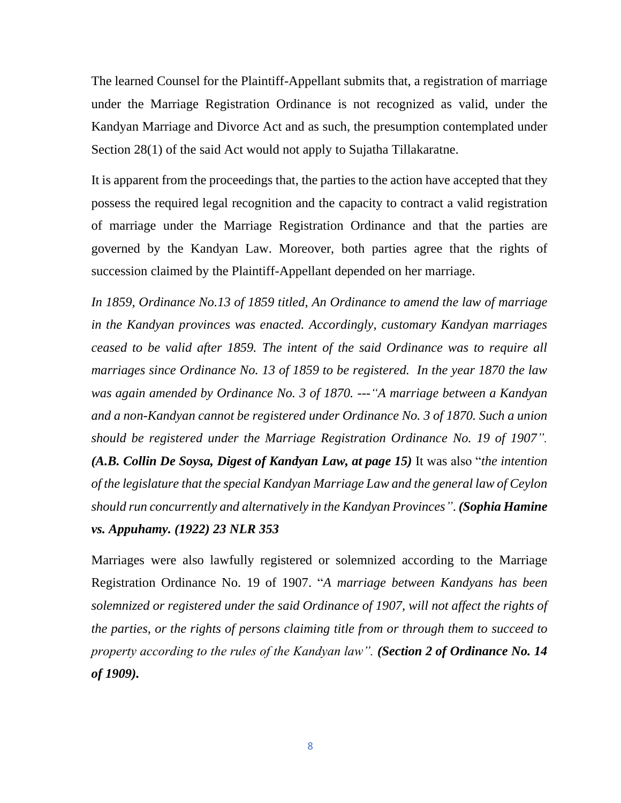The learned Counsel for the Plaintiff-Appellant submits that, a registration of marriage under the Marriage Registration Ordinance is not recognized as valid, under the Kandyan Marriage and Divorce Act and as such, the presumption contemplated under Section 28(1) of the said Act would not apply to Sujatha Tillakaratne.

It is apparent from the proceedings that, the parties to the action have accepted that they possess the required legal recognition and the capacity to contract a valid registration of marriage under the Marriage Registration Ordinance and that the parties are governed by the Kandyan Law. Moreover, both parties agree that the rights of succession claimed by the Plaintiff-Appellant depended on her marriage.

*In 1859, Ordinance No.13 of 1859 titled, An Ordinance to amend the law of marriage in the Kandyan provinces was enacted. Accordingly, customary Kandyan marriages ceased to be valid after 1859. The intent of the said Ordinance was to require all marriages since Ordinance No. 13 of 1859 to be registered. In the year 1870 the law was again amended by Ordinance No. 3 of 1870. ---"A marriage between a Kandyan and a non-Kandyan cannot be registered under Ordinance No. 3 of 1870. Such a union should be registered under the Marriage Registration Ordinance No. 19 of 1907". (A.B. Collin De Soysa, Digest of Kandyan Law, at page 15)* It was also "*the intention of the legislature that the special Kandyan Marriage Law and the general law of Ceylon should run concurrently and alternatively in the Kandyan Provinces"*. *(Sophia Hamine vs. Appuhamy. (1922) 23 NLR 353*

Marriages were also lawfully registered or solemnized according to the Marriage Registration Ordinance No. 19 of 1907. "*A marriage between Kandyans has been solemnized or registered under the said Ordinance of 1907, will not affect the rights of the parties, or the rights of persons claiming title from or through them to succeed to property according to the rules of the Kandyan law". (Section 2 of Ordinance No. 14 of 1909).*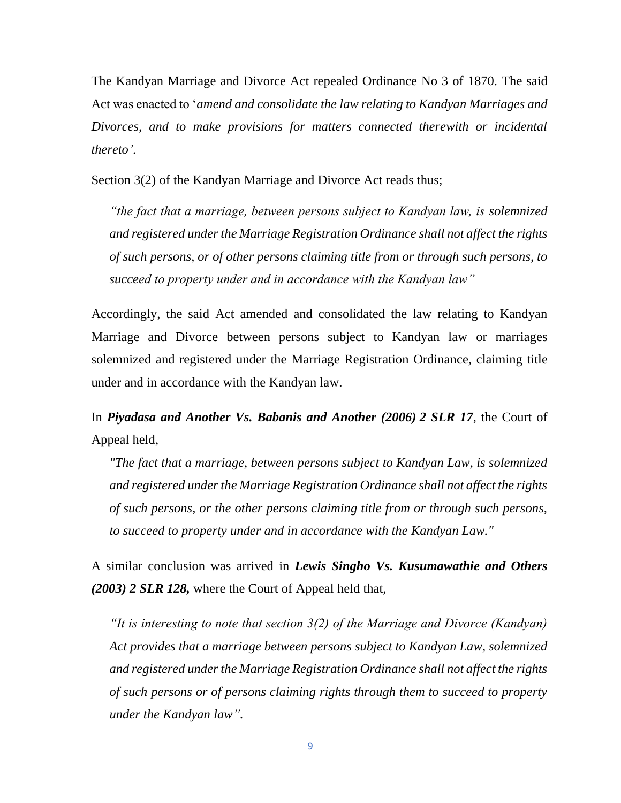The Kandyan Marriage and Divorce Act repealed Ordinance No 3 of 1870. The said Act was enacted to '*amend and consolidate the law relating to Kandyan Marriages and Divorces, and to make provisions for matters connected therewith or incidental thereto'*.

Section 3(2) of the Kandyan Marriage and Divorce Act reads thus;

*"the fact that a marriage, between persons subject to Kandyan law, is solemnized and registered under the Marriage Registration Ordinance shall not affect the rights of such persons, or of other persons claiming title from or through such persons, to succeed to property under and in accordance with the Kandyan law"*

Accordingly, the said Act amended and consolidated the law relating to Kandyan Marriage and Divorce between persons subject to Kandyan law or marriages solemnized and registered under the Marriage Registration Ordinance, claiming title under and in accordance with the Kandyan law.

In *Piyadasa and Another Vs. Babanis and Another (2006) 2 SLR 17*, the Court of Appeal held,

*"The fact that a marriage, between persons subject to Kandyan Law, is solemnized and registered under the Marriage Registration Ordinance shall not affect the rights of such persons, or the other persons claiming title from or through such persons, to succeed to property under and in accordance with the Kandyan Law."*

A similar conclusion was arrived in *Lewis Singho Vs. Kusumawathie and Others (2003) 2 SLR 128,* where the Court of Appeal held that,

*"It is interesting to note that section 3(2) of the Marriage and Divorce (Kandyan) Act provides that a marriage between persons subject to Kandyan Law, solemnized and registered under the Marriage Registration Ordinance shall not affect the rights of such persons or of persons claiming rights through them to succeed to property under the Kandyan law".*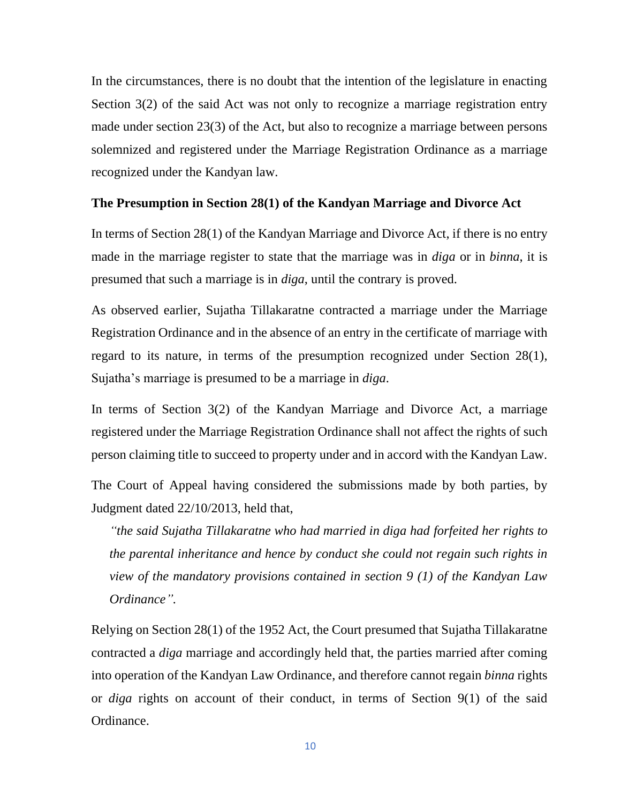In the circumstances, there is no doubt that the intention of the legislature in enacting Section 3(2) of the said Act was not only to recognize a marriage registration entry made under section 23(3) of the Act, but also to recognize a marriage between persons solemnized and registered under the Marriage Registration Ordinance as a marriage recognized under the Kandyan law.

#### **The Presumption in Section 28(1) of the Kandyan Marriage and Divorce Act**

In terms of Section 28(1) of the Kandyan Marriage and Divorce Act, if there is no entry made in the marriage register to state that the marriage was in *diga* or in *binna*, it is presumed that such a marriage is in *diga*, until the contrary is proved.

As observed earlier, Sujatha Tillakaratne contracted a marriage under the Marriage Registration Ordinance and in the absence of an entry in the certificate of marriage with regard to its nature, in terms of the presumption recognized under Section 28(1), Sujatha's marriage is presumed to be a marriage in *diga*.

In terms of Section 3(2) of the Kandyan Marriage and Divorce Act, a marriage registered under the Marriage Registration Ordinance shall not affect the rights of such person claiming title to succeed to property under and in accord with the Kandyan Law.

The Court of Appeal having considered the submissions made by both parties, by Judgment dated 22/10/2013, held that,

*"the said Sujatha Tillakaratne who had married in diga had forfeited her rights to the parental inheritance and hence by conduct she could not regain such rights in view of the mandatory provisions contained in section 9 (1) of the Kandyan Law Ordinance".* 

Relying on Section 28(1) of the 1952 Act, the Court presumed that Sujatha Tillakaratne contracted a *diga* marriage and accordingly held that, the parties married after coming into operation of the Kandyan Law Ordinance, and therefore cannot regain *binna* rights or *diga* rights on account of their conduct, in terms of Section 9(1) of the said Ordinance.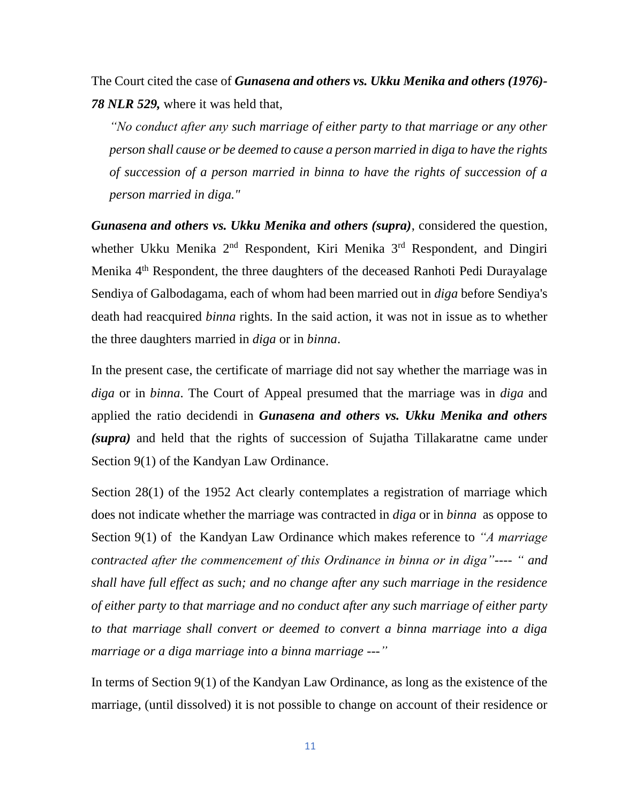The Court cited the case of *Gunasena and others vs. Ukku Menika and others (1976)- 78 NLR 529,* where it was held that,

*"No conduct after any such marriage of either party to that marriage or any other person shall cause or be deemed to cause a person married in diga to have the rights of succession of a person married in binna to have the rights of succession of a person married in diga."*

*Gunasena and others vs. Ukku Menika and others (supra)*, considered the question, whether Ukku Menika 2<sup>nd</sup> Respondent, Kiri Menika 3<sup>rd</sup> Respondent, and Dingiri Menika 4<sup>th</sup> Respondent, the three daughters of the deceased Ranhoti Pedi Durayalage Sendiya of Galbodagama, each of whom had been married out in *diga* before Sendiya's death had reacquired *binna* rights. In the said action, it was not in issue as to whether the three daughters married in *diga* or in *binna*.

In the present case, the certificate of marriage did not say whether the marriage was in *diga* or in *binna*. The Court of Appeal presumed that the marriage was in *diga* and applied the ratio decidendi in *Gunasena and others vs. Ukku Menika and others (supra)* and held that the rights of succession of Sujatha Tillakaratne came under Section 9(1) of the Kandyan Law Ordinance.

Section 28(1) of the 1952 Act clearly contemplates a registration of marriage which does not indicate whether the marriage was contracted in *diga* or in *binna* as oppose to Section 9(1) of the Kandyan Law Ordinance which makes reference to *"A marriage contracted after the commencement of this Ordinance in binna or in diga"---- " and shall have full effect as such; and no change after any such marriage in the residence of either party to that marriage and no conduct after any such marriage of either party to that marriage shall convert or deemed to convert a binna marriage into a diga marriage or a diga marriage into a binna marriage ---"* 

In terms of Section 9(1) of the Kandyan Law Ordinance, as long as the existence of the marriage, (until dissolved) it is not possible to change on account of their residence or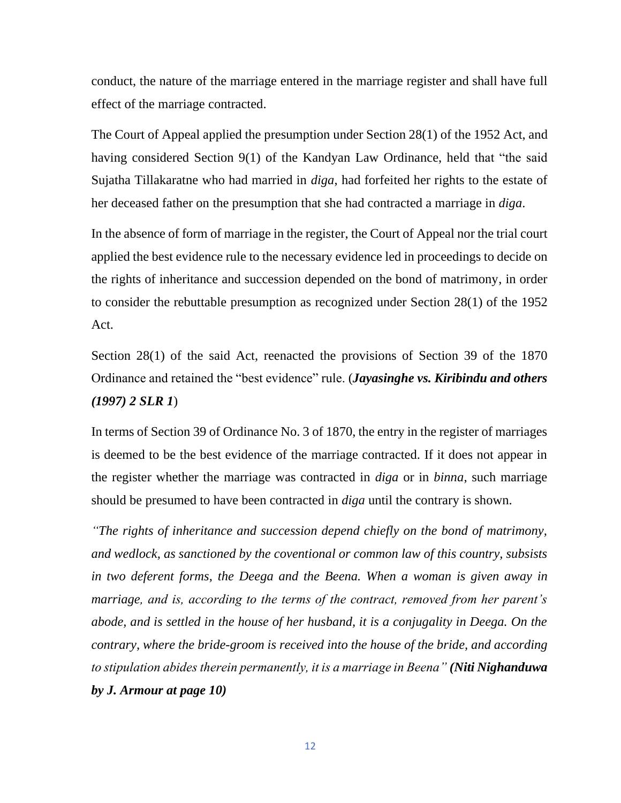conduct, the nature of the marriage entered in the marriage register and shall have full effect of the marriage contracted.

The Court of Appeal applied the presumption under Section 28(1) of the 1952 Act, and having considered Section 9(1) of the Kandyan Law Ordinance, held that "the said Sujatha Tillakaratne who had married in *diga*, had forfeited her rights to the estate of her deceased father on the presumption that she had contracted a marriage in *diga*.

In the absence of form of marriage in the register, the Court of Appeal nor the trial court applied the best evidence rule to the necessary evidence led in proceedings to decide on the rights of inheritance and succession depended on the bond of matrimony, in order to consider the rebuttable presumption as recognized under Section 28(1) of the 1952 Act.

Section 28(1) of the said Act, reenacted the provisions of Section 39 of the 1870 Ordinance and retained the "best evidence" rule. (*Jayasinghe vs. Kiribindu and others (1997) 2 SLR 1*)

In terms of Section 39 of Ordinance No. 3 of 1870, the entry in the register of marriages is deemed to be the best evidence of the marriage contracted. If it does not appear in the register whether the marriage was contracted in *diga* or in *binna*, such marriage should be presumed to have been contracted in *diga* until the contrary is shown.

*"The rights of inheritance and succession depend chiefly on the bond of matrimony, and wedlock, as sanctioned by the coventional or common law of this country, subsists in two deferent forms, the Deega and the Beena. When a woman is given away in marriage, and is, according to the terms of the contract, removed from her parent's abode, and is settled in the house of her husband, it is a conjugality in Deega. On the contrary, where the bride-groom is received into the house of the bride, and according to stipulation abides therein permanently, it is a marriage in Beena" (Niti Nighanduwa by J. Armour at page 10)*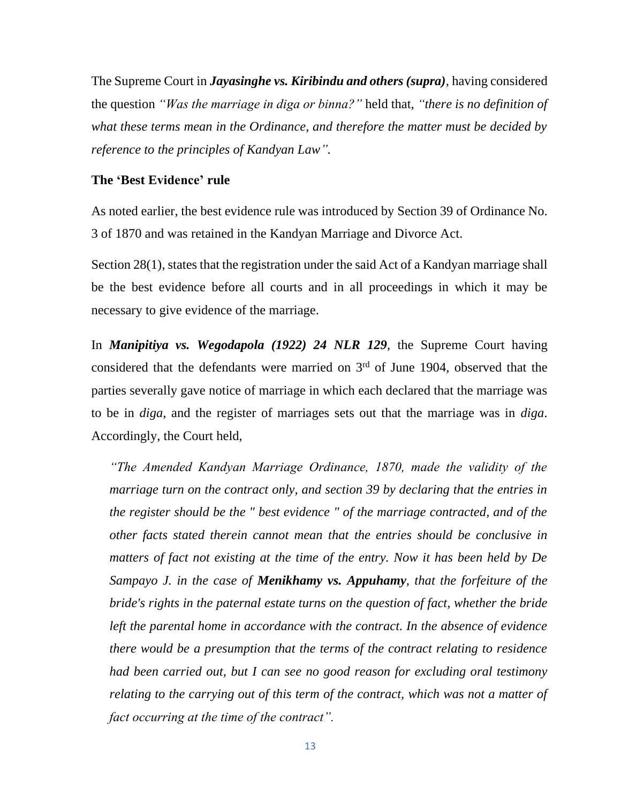The Supreme Court in *Jayasinghe vs. Kiribindu and others (supra)*, having considered the question *"Was the marriage in diga or binna?"* held that, *"there is no definition of what these terms mean in the Ordinance, and therefore the matter must be decided by reference to the principles of Kandyan Law".*

#### **The 'Best Evidence' rule**

As noted earlier, the best evidence rule was introduced by Section 39 of Ordinance No. 3 of 1870 and was retained in the Kandyan Marriage and Divorce Act.

Section 28(1), states that the registration under the said Act of a Kandyan marriage shall be the best evidence before all courts and in all proceedings in which it may be necessary to give evidence of the marriage.

In *Manipitiya vs. Wegodapola (1922) 24 NLR 129*, the Supreme Court having considered that the defendants were married on  $3<sup>rd</sup>$  of June 1904, observed that the parties severally gave notice of marriage in which each declared that the marriage was to be in *diga*, and the register of marriages sets out that the marriage was in *diga*. Accordingly, the Court held,

*"The Amended Kandyan Marriage Ordinance, 1870, made the validity of the marriage turn on the contract only, and section 39 by declaring that the entries in the register should be the " best evidence " of the marriage contracted, and of the other facts stated therein cannot mean that the entries should be conclusive in matters of fact not existing at the time of the entry. Now it has been held by De Sampayo J. in the case of Menikhamy vs. Appuhamy, that the forfeiture of the bride's rights in the paternal estate turns on the question of fact, whether the bride*  left the parental home in accordance with the contract. In the absence of evidence *there would be a presumption that the terms of the contract relating to residence had been carried out, but I can see no good reason for excluding oral testimony relating to the carrying out of this term of the contract, which was not a matter of fact occurring at the time of the contract".*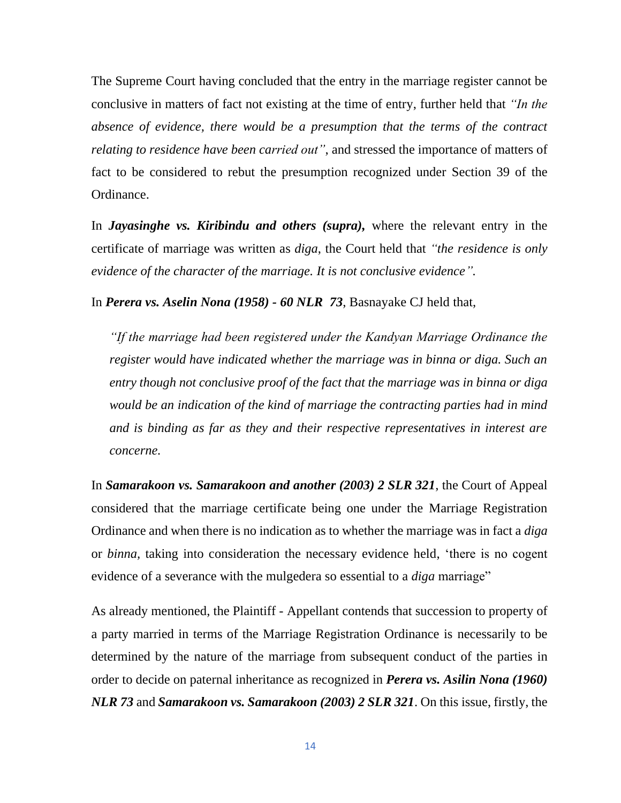The Supreme Court having concluded that the entry in the marriage register cannot be conclusive in matters of fact not existing at the time of entry, further held that *"In the absence of evidence, there would be a presumption that the terms of the contract relating to residence have been carried out"*, and stressed the importance of matters of fact to be considered to rebut the presumption recognized under Section 39 of the Ordinance.

In *Jayasinghe vs. Kiribindu and others (supra),* where the relevant entry in the certificate of marriage was written as *diga*, the Court held that *"the residence is only evidence of the character of the marriage. It is not conclusive evidence".*

In *Perera vs. Aselin Nona (1958) - 60 NLR 73*, Basnayake CJ held that,

*"If the marriage had been registered under the Kandyan Marriage Ordinance the*  register would have indicated whether the marriage was in binna or diga. Such an *entry though not conclusive proof of the fact that the marriage was in binna or diga would be an indication of the kind of marriage the contracting parties had in mind and is binding as far as they and their respective representatives in interest are concerne.*

In *Samarakoon vs. Samarakoon and another (2003) 2 SLR 321*, the Court of Appeal considered that the marriage certificate being one under the Marriage Registration Ordinance and when there is no indication as to whether the marriage was in fact a *diga* or *binna,* taking into consideration the necessary evidence held, 'there is no cogent evidence of a severance with the mulgedera so essential to a *diga* marriage"

As already mentioned, the Plaintiff - Appellant contends that succession to property of a party married in terms of the Marriage Registration Ordinance is necessarily to be determined by the nature of the marriage from subsequent conduct of the parties in order to decide on paternal inheritance as recognized in *Perera vs. Asilin Nona (1960) NLR 73* and *Samarakoon vs. Samarakoon (2003) 2 SLR 321*. On this issue, firstly, the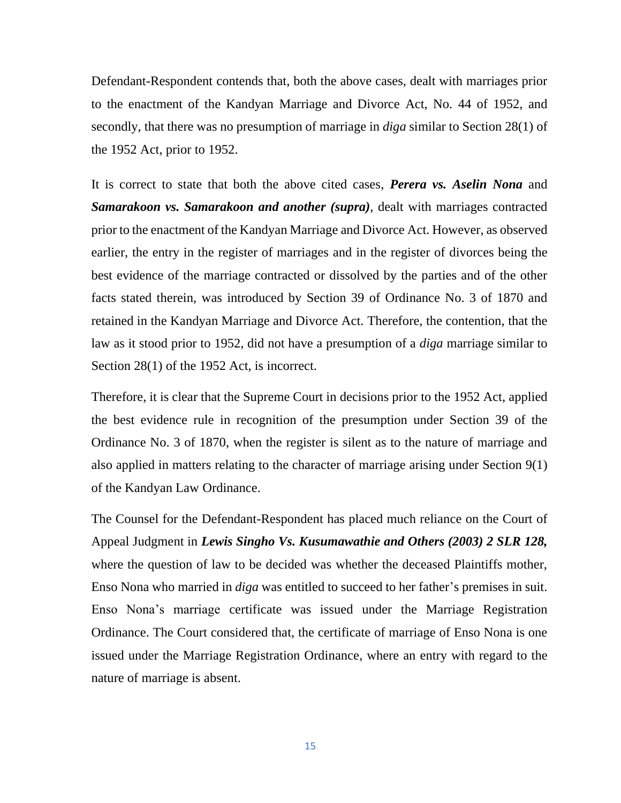Defendant-Respondent contends that, both the above cases, dealt with marriages prior to the enactment of the Kandyan Marriage and Divorce Act, No. 44 of 1952, and secondly, that there was no presumption of marriage in *diga* similar to Section 28(1) of the 1952 Act, prior to 1952.

It is correct to state that both the above cited cases, *Perera vs. Aselin Nona* and *Samarakoon vs. Samarakoon and another (supra)*, dealt with marriages contracted prior to the enactment of the Kandyan Marriage and Divorce Act. However, as observed earlier, the entry in the register of marriages and in the register of divorces being the best evidence of the marriage contracted or dissolved by the parties and of the other facts stated therein, was introduced by Section 39 of Ordinance No. 3 of 1870 and retained in the Kandyan Marriage and Divorce Act. Therefore, the contention, that the law as it stood prior to 1952, did not have a presumption of a *diga* marriage similar to Section 28(1) of the 1952 Act, is incorrect.

Therefore, it is clear that the Supreme Court in decisions prior to the 1952 Act, applied the best evidence rule in recognition of the presumption under Section 39 of the Ordinance No. 3 of 1870, when the register is silent as to the nature of marriage and also applied in matters relating to the character of marriage arising under Section 9(1) of the Kandyan Law Ordinance.

The Counsel for the Defendant-Respondent has placed much reliance on the Court of Appeal Judgment in *Lewis Singho Vs. Kusumawathie and Others (2003) 2 SLR 128,* where the question of law to be decided was whether the deceased Plaintiffs mother, Enso Nona who married in *diga* was entitled to succeed to her father's premises in suit. Enso Nona's marriage certificate was issued under the Marriage Registration Ordinance. The Court considered that, the certificate of marriage of Enso Nona is one issued under the Marriage Registration Ordinance, where an entry with regard to the nature of marriage is absent.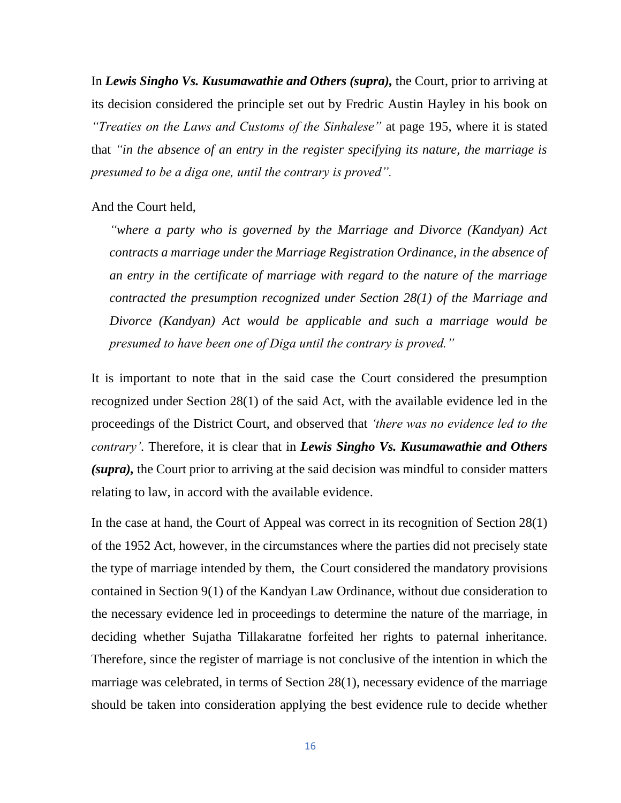In *Lewis Singho Vs. Kusumawathie and Others (supra),* the Court, prior to arriving at its decision considered the principle set out by Fredric Austin Hayley in his book on *"Treaties on the Laws and Customs of the Sinhalese"* at page 195, where it is stated that *"in the absence of an entry in the register specifying its nature, the marriage is presumed to be a diga one, until the contrary is proved".*

#### And the Court held,

*"where a party who is governed by the Marriage and Divorce (Kandyan) Act contracts a marriage under the Marriage Registration Ordinance, in the absence of an entry in the certificate of marriage with regard to the nature of the marriage contracted the presumption recognized under Section 28(1) of the Marriage and Divorce (Kandyan) Act would be applicable and such a marriage would be presumed to have been one of Diga until the contrary is proved."*

It is important to note that in the said case the Court considered the presumption recognized under Section 28(1) of the said Act, with the available evidence led in the proceedings of the District Court, and observed that *'there was no evidence led to the contrary'*. Therefore, it is clear that in *Lewis Singho Vs. Kusumawathie and Others (supra),* the Court prior to arriving at the said decision was mindful to consider matters relating to law, in accord with the available evidence.

In the case at hand, the Court of Appeal was correct in its recognition of Section 28(1) of the 1952 Act, however, in the circumstances where the parties did not precisely state the type of marriage intended by them, the Court considered the mandatory provisions contained in Section 9(1) of the Kandyan Law Ordinance, without due consideration to the necessary evidence led in proceedings to determine the nature of the marriage, in deciding whether Sujatha Tillakaratne forfeited her rights to paternal inheritance. Therefore, since the register of marriage is not conclusive of the intention in which the marriage was celebrated, in terms of Section 28(1), necessary evidence of the marriage should be taken into consideration applying the best evidence rule to decide whether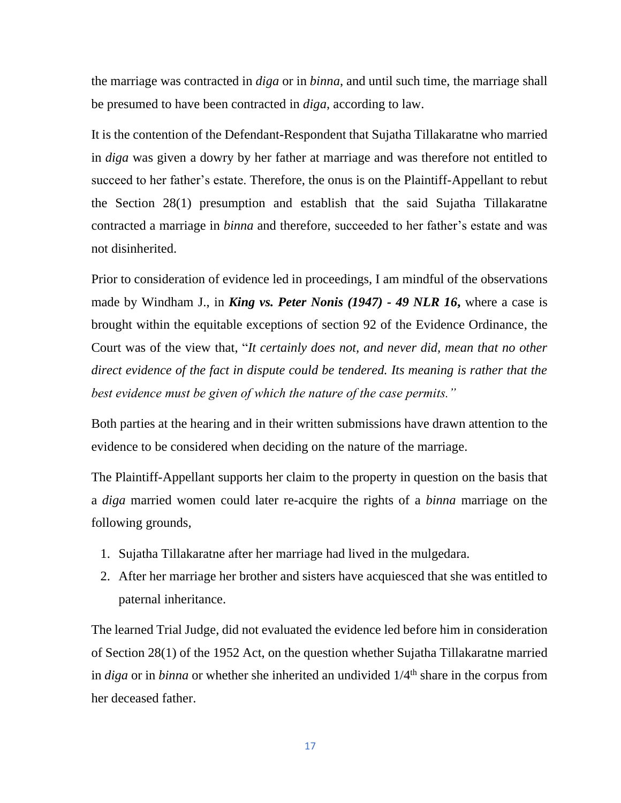the marriage was contracted in *diga* or in *binna*, and until such time, the marriage shall be presumed to have been contracted in *diga*, according to law.

It is the contention of the Defendant-Respondent that Sujatha Tillakaratne who married in *diga* was given a dowry by her father at marriage and was therefore not entitled to succeed to her father's estate. Therefore, the onus is on the Plaintiff-Appellant to rebut the Section 28(1) presumption and establish that the said Sujatha Tillakaratne contracted a marriage in *binna* and therefore, succeeded to her father's estate and was not disinherited.

Prior to consideration of evidence led in proceedings, I am mindful of the observations made by Windham J., in *King vs. Peter Nonis (1947) - 49 NLR 16***,** where a case is brought within the equitable exceptions of section 92 of the Evidence Ordinance, the Court was of the view that, "*It certainly does not, and never did, mean that no other direct evidence of the fact in dispute could be tendered. Its meaning is rather that the best evidence must be given of which the nature of the case permits."*

Both parties at the hearing and in their written submissions have drawn attention to the evidence to be considered when deciding on the nature of the marriage.

The Plaintiff-Appellant supports her claim to the property in question on the basis that a *diga* married women could later re-acquire the rights of a *binna* marriage on the following grounds,

- 1. Sujatha Tillakaratne after her marriage had lived in the mulgedara.
- 2. After her marriage her brother and sisters have acquiesced that she was entitled to paternal inheritance.

The learned Trial Judge, did not evaluated the evidence led before him in consideration of Section 28(1) of the 1952 Act, on the question whether Sujatha Tillakaratne married in *diga* or in *binna* or whether she inherited an undivided  $1/4<sup>th</sup>$  share in the corpus from her deceased father.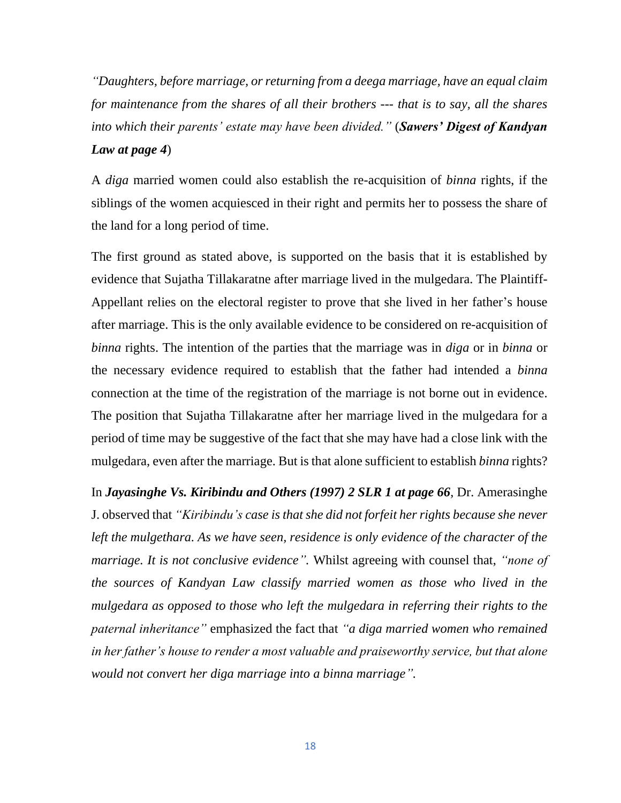*"Daughters, before marriage, or returning from a deega marriage, have an equal claim for maintenance from the shares of all their brothers --- that is to say, all the shares into which their parents' estate may have been divided."* (*Sawers' Digest of Kandyan Law at page 4*)

A *diga* married women could also establish the re-acquisition of *binna* rights, if the siblings of the women acquiesced in their right and permits her to possess the share of the land for a long period of time.

The first ground as stated above, is supported on the basis that it is established by evidence that Sujatha Tillakaratne after marriage lived in the mulgedara. The Plaintiff-Appellant relies on the electoral register to prove that she lived in her father's house after marriage. This is the only available evidence to be considered on re-acquisition of *binna* rights. The intention of the parties that the marriage was in *diga* or in *binna* or the necessary evidence required to establish that the father had intended a *binna* connection at the time of the registration of the marriage is not borne out in evidence. The position that Sujatha Tillakaratne after her marriage lived in the mulgedara for a period of time may be suggestive of the fact that she may have had a close link with the mulgedara, even after the marriage. But is that alone sufficient to establish *binna* rights?

In *Jayasinghe Vs. Kiribindu and Others (1997) 2 SLR 1 at page 66*, Dr. Amerasinghe J. observed that *"Kiribindu's case is that she did not forfeit her rights because she never left the mulgethara. As we have seen, residence is only evidence of the character of the marriage. It is not conclusive evidence".* Whilst agreeing with counsel that, *"none of the sources of Kandyan Law classify married women as those who lived in the mulgedara as opposed to those who left the mulgedara in referring their rights to the paternal inheritance"* emphasized the fact that *"a diga married women who remained in her father's house to render a most valuable and praiseworthy service, but that alone would not convert her diga marriage into a binna marriage".*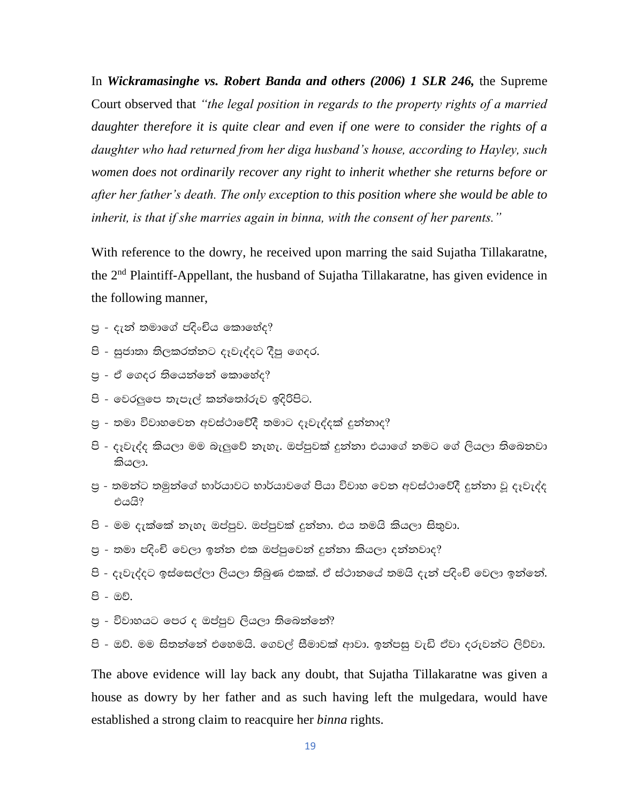In *Wickramasinghe vs. Robert Banda and others (2006) 1 SLR 246,* the Supreme Court observed that *"the legal position in regards to the property rights of a married daughter therefore it is quite clear and even if one were to consider the rights of a daughter who had returned from her diga husband's house, according to Hayley, such women does not ordinarily recover any right to inherit whether she returns before or after her father's death. The only exception to this position where she would be able to inherit, is that if she marries again in binna, with the consent of her parents."*

With reference to the dowry, he received upon marring the said Sujatha Tillakaratne, the 2nd Plaintiff-Appellant, the husband of Sujatha Tillakaratne, has given evidence in the following manner,

- පු දැන් තමාගේ පදිංචිය කොහේද?
- පි සුජාතා තිලකරත්නට දෑවැද්දට දීපු ගෙදර.
- පු ඒ ගෙදර තියෙන්නේ කොහේද?
- පි වෙරලුපෙ තැපැල් කන්තෝරුව ඉදිරිපිට.
- පු තමා විවාහවෙන අවස්ථාවේදී තමාට දෑවැද්දක් දුන්නාද?
- පි දෑවැද්ද කියලා මම බැලුවේ නැහැ. ඔප්පුවක් දුන්නා එයාගේ නමට ගේ ලියලා තිබෙනවා කියලා.
- පු තමන්ට තමුන්ගේ භාර්යාවට භාර්යාවගේ පියා විවාහ වෙන අවස්ථාවේදී දුන්නා වූ දෑවැද්ද එයයි?
- පි මම දැක්තේ නැහැ ඔප්පූව. ඔප්පූවක් දුන්නා. එය තමයි කියලා සිතුවා.
- පු තමා පදිංචි වෙලා ඉන්න එක ඔප්පුවෙන් දුන්නා කියලා දන්නවාද?
- පි දෑවැද්දට ඉස්සෙල්ලා ලියලා තිබුණ එකක්. ඒ ස්ථානයේ තමයි දැන් පදිංචි වෙලා ඉන්නේ.
- පි ඔව්.
- පු විවාහයට පෙර ද ඔප්පුව ලියලා තිබෙන්නේ?
- පි ඔව්. මම සිතන්නේ එහෙමයි. ගෙවල් සීමාවක් ආවා. ඉන්පසු වැඩි ඒවා දරුවන්ට ලිව්වා.

The above evidence will lay back any doubt, that Sujatha Tillakaratne was given a house as dowry by her father and as such having left the mulgedara, would have established a strong claim to reacquire her *binna* rights.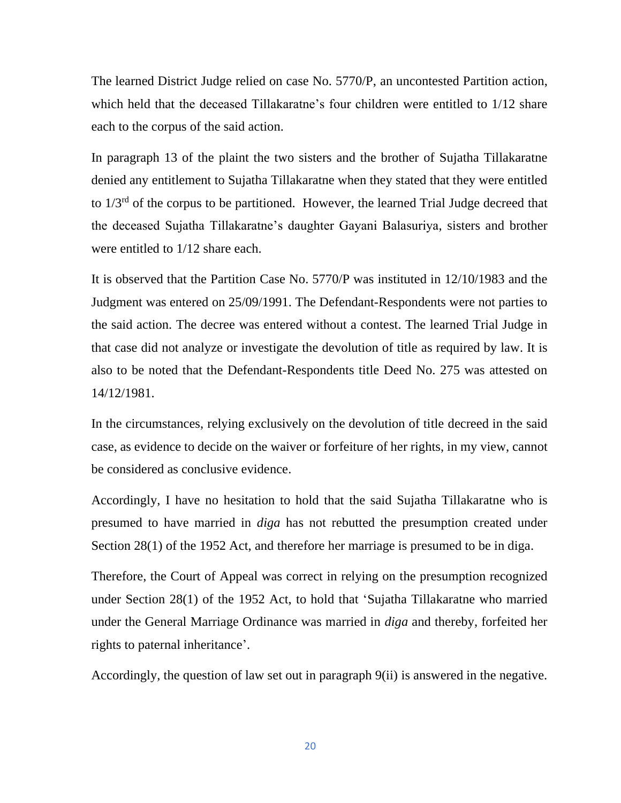The learned District Judge relied on case No. 5770/P, an uncontested Partition action, which held that the deceased Tillakaratne's four children were entitled to 1/12 share each to the corpus of the said action.

In paragraph 13 of the plaint the two sisters and the brother of Sujatha Tillakaratne denied any entitlement to Sujatha Tillakaratne when they stated that they were entitled to 1/3rd of the corpus to be partitioned. However, the learned Trial Judge decreed that the deceased Sujatha Tillakaratne's daughter Gayani Balasuriya, sisters and brother were entitled to 1/12 share each.

It is observed that the Partition Case No. 5770/P was instituted in 12/10/1983 and the Judgment was entered on 25/09/1991. The Defendant-Respondents were not parties to the said action. The decree was entered without a contest. The learned Trial Judge in that case did not analyze or investigate the devolution of title as required by law. It is also to be noted that the Defendant-Respondents title Deed No. 275 was attested on 14/12/1981.

In the circumstances, relying exclusively on the devolution of title decreed in the said case, as evidence to decide on the waiver or forfeiture of her rights, in my view, cannot be considered as conclusive evidence.

Accordingly, I have no hesitation to hold that the said Sujatha Tillakaratne who is presumed to have married in *diga* has not rebutted the presumption created under Section 28(1) of the 1952 Act, and therefore her marriage is presumed to be in diga.

Therefore, the Court of Appeal was correct in relying on the presumption recognized under Section 28(1) of the 1952 Act, to hold that 'Sujatha Tillakaratne who married under the General Marriage Ordinance was married in *diga* and thereby, forfeited her rights to paternal inheritance'.

Accordingly, the question of law set out in paragraph 9(ii) is answered in the negative.